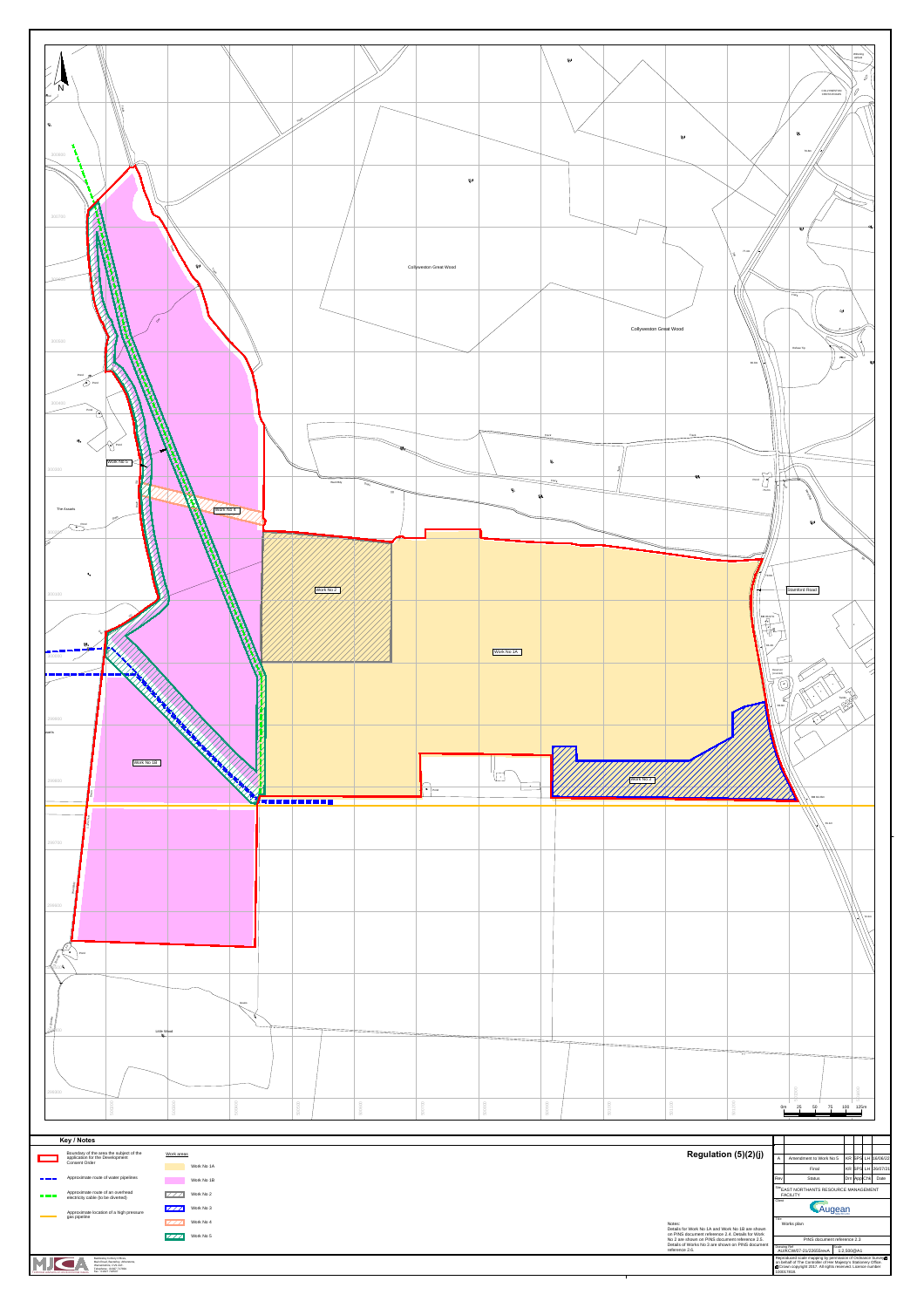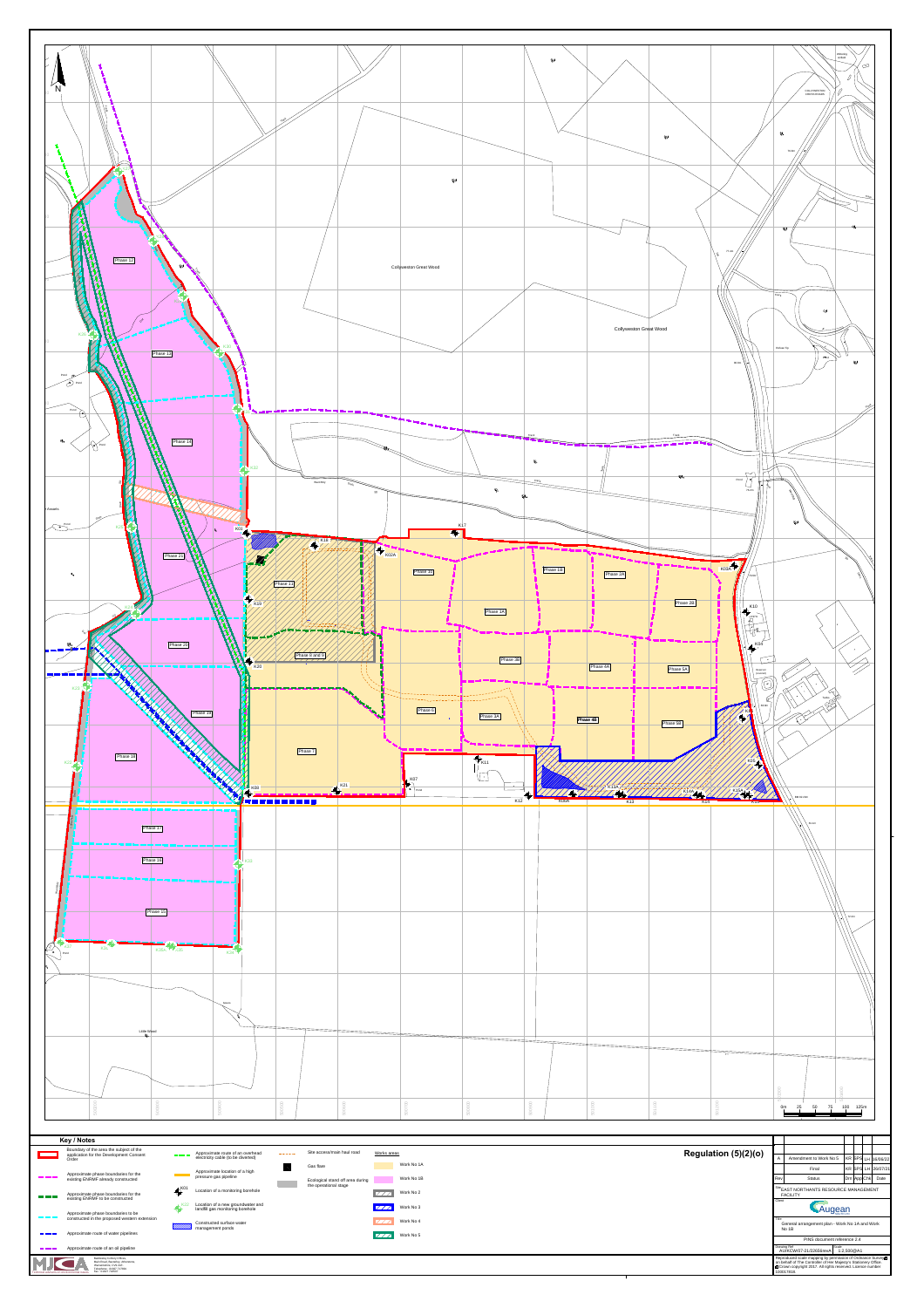